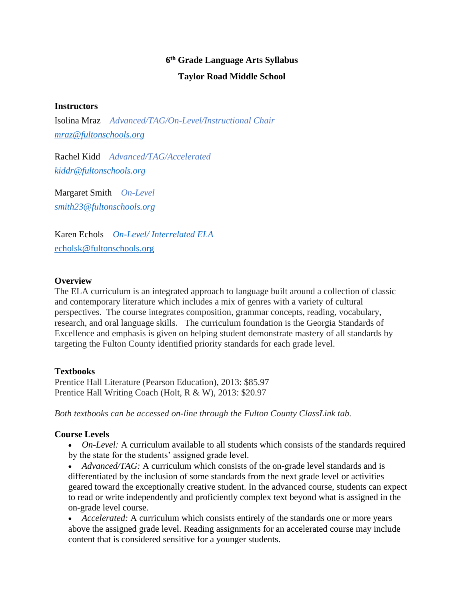# **6 th Grade Language Arts Syllabus Taylor Road Middle School**

#### **Instructors**

Isolina Mraz *Advanced/TAG/On-Level/Instructional Chair [mraz@fultonschools.org](mailto:mraz@fultonschools.org)*

Rachel Kidd *Advanced/TAG/Accelerated [kiddr@fultonschools.org](mailto:kiddr@fultonschools.org)*

Margaret Smith *On-Level [smith23@fultonschools.org](mailto:smith23@fultonschools.org)*

Karen Echols *On-Level/ Interrelated ELA* echolsk@fultonschools.org

#### **Overview**

The ELA curriculum is an integrated approach to language built around a collection of classic and contemporary literature which includes a mix of genres with a variety of cultural perspectives. The course integrates composition, grammar concepts, reading, vocabulary, research, and oral language skills. The curriculum foundation is the Georgia Standards of Excellence and emphasis is given on helping student demonstrate mastery of all standards by targeting the Fulton County identified priority standards for each grade level.

#### **Textbooks**

Prentice Hall Literature (Pearson Education), 2013: \$85.97 Prentice Hall Writing Coach (Holt, R & W), 2013: \$20.97

*Both textbooks can be accessed on-line through the Fulton County ClassLink tab.*

#### **Course Levels**

- *On-Level:* A curriculum available to all students which consists of the standards required by the state for the students' assigned grade level.
- *Advanced/TAG:* A curriculum which consists of the on-grade level standards and is differentiated by the inclusion of some standards from the next grade level or activities geared toward the exceptionally creative student. In the advanced course, students can expect to read or write independently and proficiently complex text beyond what is assigned in the on-grade level course.

• *Accelerated:* A curriculum which consists entirely of the standards one or more years above the assigned grade level. Reading assignments for an accelerated course may include content that is considered sensitive for a younger students.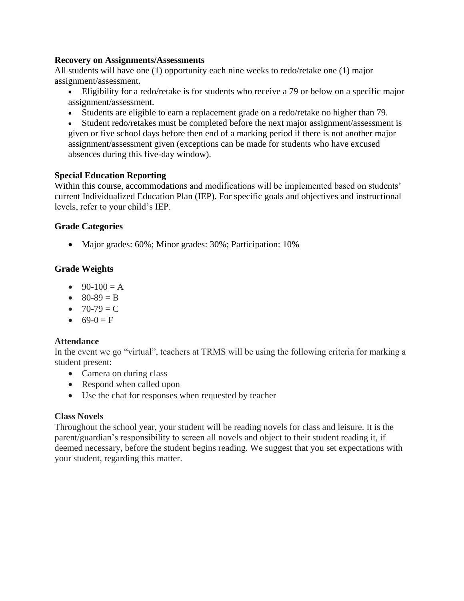#### **Recovery on Assignments/Assessments**

All students will have one (1) opportunity each nine weeks to redo/retake one (1) major assignment/assessment.

- Eligibility for a redo/retake is for students who receive a 79 or below on a specific major assignment/assessment.
- Students are eligible to earn a replacement grade on a redo/retake no higher than 79.

• Student redo/retakes must be completed before the next major assignment/assessment is given or five school days before then end of a marking period if there is not another major assignment/assessment given (exceptions can be made for students who have excused absences during this five-day window).

# **Special Education Reporting**

Within this course, accommodations and modifications will be implemented based on students' current Individualized Education Plan (IEP). For specific goals and objectives and instructional levels, refer to your child's IEP.

# **Grade Categories**

• Major grades: 60%; Minor grades: 30%; Participation: 10%

# **Grade Weights**

- $90-100 = A$
- $80-89 = B$
- $70-79 = C$
- $69-0 = F$

# **Attendance**

In the event we go "virtual", teachers at TRMS will be using the following criteria for marking a student present:

- Camera on during class
- Respond when called upon
- Use the chat for responses when requested by teacher

#### **Class Novels**

Throughout the school year, your student will be reading novels for class and leisure. It is the parent/guardian's responsibility to screen all novels and object to their student reading it, if deemed necessary, before the student begins reading. We suggest that you set expectations with your student, regarding this matter.